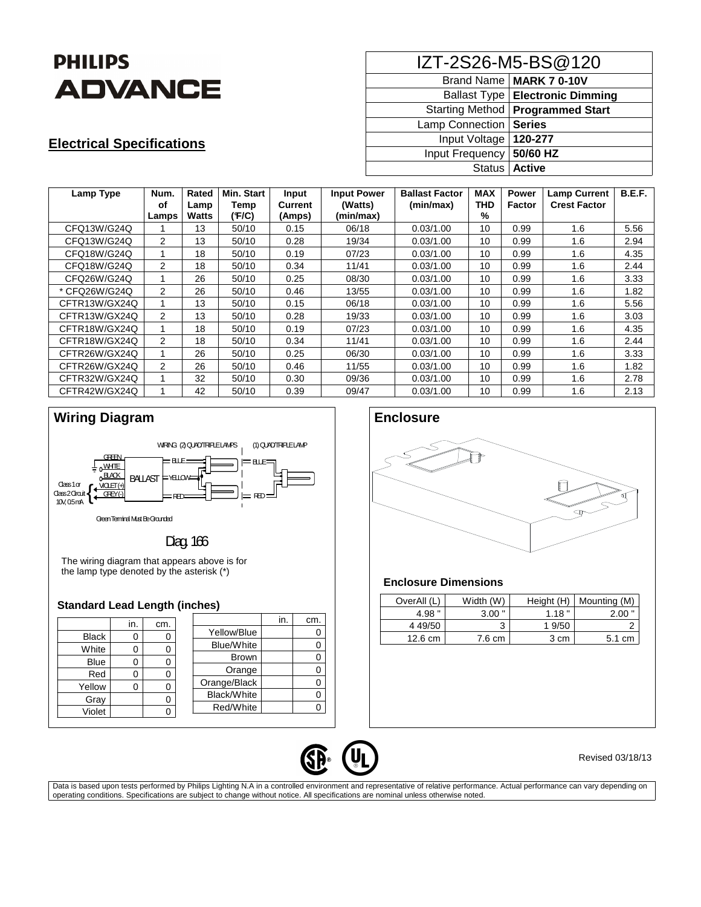

## **Electrical Specifications**

| IZT-2S26-M5-BS@120         |                                          |  |  |  |  |
|----------------------------|------------------------------------------|--|--|--|--|
|                            | Brand Name   MARK 7 0-10V                |  |  |  |  |
|                            | <b>Ballast Type   Electronic Dimming</b> |  |  |  |  |
|                            | Starting Method   Programmed Start       |  |  |  |  |
| Lamp Connection            | Series                                   |  |  |  |  |
| Input Voltage              | 120-277                                  |  |  |  |  |
| Input Frequency   50/60 HZ |                                          |  |  |  |  |
|                            | Status   Active                          |  |  |  |  |

| Lamp Type     | Num.           | Rated | <b>Min. Start</b> | Input          | <b>Input Power</b> | <b>Ballast Factor</b> | <b>MAX</b> | <b>Power</b> | <b>Lamp Current</b> | <b>B.E.F.</b> |
|---------------|----------------|-------|-------------------|----------------|--------------------|-----------------------|------------|--------------|---------------------|---------------|
|               | οf             | Lamp  | Temp              | <b>Current</b> | (Watts)            | (min/max)             | <b>THD</b> | Factor       | <b>Crest Factor</b> |               |
|               | Lamps          | Watts | (F/C)             | (Amps)         | (min/max)          |                       | %          |              |                     |               |
| CFQ13W/G24Q   |                | 13    | 50/10             | 0.15           | 06/18              | 0.03/1.00             | 10         | 0.99         | 1.6                 | 5.56          |
| CFQ13W/G24Q   | 2              | 13    | 50/10             | 0.28           | 19/34              | 0.03/1.00             | 10         | 0.99         | 1.6                 | 2.94          |
| CFQ18W/G24Q   |                | 18    | 50/10             | 0.19           | 07/23              | 0.03/1.00             | 10         | 0.99         | 1.6                 | 4.35          |
| CFQ18W/G24Q   | $\mathcal{P}$  | 18    | 50/10             | 0.34           | 11/41              | 0.03/1.00             | 10         | 0.99         | 1.6                 | 2.44          |
| CFQ26W/G24Q   |                | 26    | 50/10             | 0.25           | 08/30              | 0.03/1.00             | 10         | 0.99         | 1.6                 | 3.33          |
| * CFQ26W/G24Q | $\overline{2}$ | 26    | 50/10             | 0.46           | 13/55              | 0.03/1.00             | 10         | 0.99         | 1.6                 | 1.82          |
| CFTR13W/GX24Q |                | 13    | 50/10             | 0.15           | 06/18              | 0.03/1.00             | 10         | 0.99         | 1.6                 | 5.56          |
| CFTR13W/GX24Q | 2              | 13    | 50/10             | 0.28           | 19/33              | 0.03/1.00             | 10         | 0.99         | 1.6                 | 3.03          |
| CFTR18W/GX24Q | 1              | 18    | 50/10             | 0.19           | 07/23              | 0.03/1.00             | 10         | 0.99         | 1.6                 | 4.35          |
| CFTR18W/GX24Q | 2              | 18    | 50/10             | 0.34           | 11/41              | 0.03/1.00             | 10         | 0.99         | 1.6                 | 2.44          |
| CFTR26W/GX24Q |                | 26    | 50/10             | 0.25           | 06/30              | 0.03/1.00             | 10         | 0.99         | 1.6                 | 3.33          |
| CFTR26W/GX24Q | 2              | 26    | 50/10             | 0.46           | 11/55              | 0.03/1.00             | 10         | 0.99         | 1.6                 | 1.82          |
| CFTR32W/GX24Q |                | 32    | 50/10             | 0.30           | 09/36              | 0.03/1.00             | 10         | 0.99         | 1.6                 | 2.78          |
| CFTR42W/GX24Q |                | 42    | 50/10             | 0.39           | 09/47              | 0.03/1.00             | 10         | 0.99         | 1.6                 | 2.13          |



## Diag. 166

The wiring diagram that appears above is for the lamp type denoted by the asterisk (\*)

### **Standard Lead Length (inches)**

|              | in. | cm. |                   | in. | cm. |
|--------------|-----|-----|-------------------|-----|-----|
| <b>Black</b> | 0   | 0   | Yellow/Blue       |     |     |
| White        | O   |     | <b>Blue/White</b> |     |     |
| <b>Blue</b>  | ი   |     | <b>Brown</b>      |     |     |
| Red          | ი   |     | Orange            |     |     |
| Yellow       | 0   | 0   | Orange/Black      |     |     |
| Gray         |     |     | Black/White       |     |     |
| Violet       |     |     | Red/White         |     |     |
|              |     |     |                   |     |     |



### **Enclosure Dimensions**

| OverAll (L)       | Width (W) | Height (H) | Mounting (M)     |
|-------------------|-----------|------------|------------------|
| 4.98 "            | $3.00$ "  | 1.18"      | $2.00$ "         |
| 4 49/50           | 3         | 1 9/50     |                  |
| $12.6 \text{ cm}$ | 7.6 cm    | 3 cm       | $5.1 \text{ cm}$ |



### Revised 03/18/13

Data is based upon tests performed by Philips Lighting N.A in a controlled environment and representative of relative performance. Actual performance can vary depending on operating conditions. Specifications are subject to change without notice. All specifications are nominal unless otherwise noted.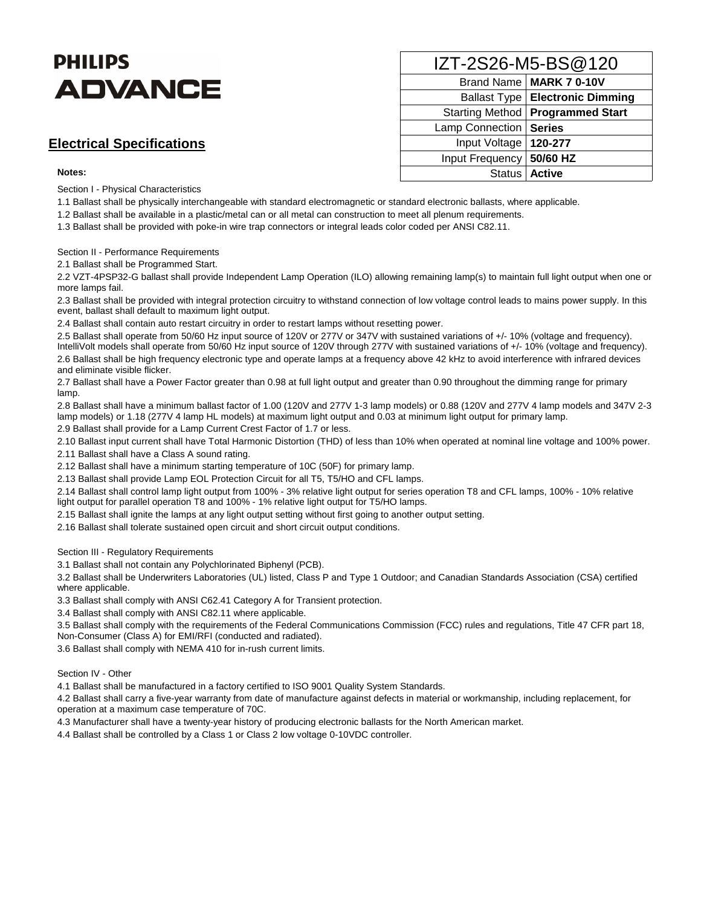# **PHILIPS ADVANCE**

### **Electrical Specifications**

### **Notes:**

Section I - Physical Characteristics

1.1 Ballast shall be physically interchangeable with standard electromagnetic or standard electronic ballasts, where applicable.

1.2 Ballast shall be available in a plastic/metal can or all metal can construction to meet all plenum requirements.

1.3 Ballast shall be provided with poke-in wire trap connectors or integral leads color coded per ANSI C82.11.

#### Section II - Performance Requirements

2.1 Ballast shall be Programmed Start.

2.2 VZT-4PSP32-G ballast shall provide Independent Lamp Operation (ILO) allowing remaining lamp(s) to maintain full light output when one or more lamps fail.

2.3 Ballast shall be provided with integral protection circuitry to withstand connection of low voltage control leads to mains power supply. In this event, ballast shall default to maximum light output.

2.4 Ballast shall contain auto restart circuitry in order to restart lamps without resetting power.

2.5 Ballast shall operate from 50/60 Hz input source of 120V or 277V or 347V with sustained variations of +/- 10% (voltage and frequency). IntelliVolt models shall operate from 50/60 Hz input source of 120V through 277V with sustained variations of +/- 10% (voltage and frequency). 2.6 Ballast shall be high frequency electronic type and operate lamps at a frequency above 42 kHz to avoid interference with infrared devices and eliminate visible flicker.

2.7 Ballast shall have a Power Factor greater than 0.98 at full light output and greater than 0.90 throughout the dimming range for primary lamp.

2.8 Ballast shall have a minimum ballast factor of 1.00 (120V and 277V 1-3 lamp models) or 0.88 (120V and 277V 4 lamp models and 347V 2-3 lamp models) or 1.18 (277V 4 lamp HL models) at maximum light output and 0.03 at minimum light output for primary lamp.

2.9 Ballast shall provide for a Lamp Current Crest Factor of 1.7 or less.

2.10 Ballast input current shall have Total Harmonic Distortion (THD) of less than 10% when operated at nominal line voltage and 100% power.

2.11 Ballast shall have a Class A sound rating.

2.12 Ballast shall have a minimum starting temperature of 10C (50F) for primary lamp.

2.13 Ballast shall provide Lamp EOL Protection Circuit for all T5, T5/HO and CFL lamps.

2.14 Ballast shall control lamp light output from 100% - 3% relative light output for series operation T8 and CFL lamps, 100% - 10% relative light output for parallel operation T8 and 100% - 1% relative light output for T5/HO lamps.

2.15 Ballast shall ignite the lamps at any light output setting without first going to another output setting.

2.16 Ballast shall tolerate sustained open circuit and short circuit output conditions.

Section III - Regulatory Requirements

3.1 Ballast shall not contain any Polychlorinated Biphenyl (PCB).

3.2 Ballast shall be Underwriters Laboratories (UL) listed, Class P and Type 1 Outdoor; and Canadian Standards Association (CSA) certified where applicable.

3.3 Ballast shall comply with ANSI C62.41 Category A for Transient protection.

3.4 Ballast shall comply with ANSI C82.11 where applicable.

3.5 Ballast shall comply with the requirements of the Federal Communications Commission (FCC) rules and regulations, Title 47 CFR part 18, Non-Consumer (Class A) for EMI/RFI (conducted and radiated).

3.6 Ballast shall comply with NEMA 410 for in-rush current limits.

Section IV - Other

4.1 Ballast shall be manufactured in a factory certified to ISO 9001 Quality System Standards.

4.2 Ballast shall carry a five-year warranty from date of manufacture against defects in material or workmanship, including replacement, for operation at a maximum case temperature of 70C.

4.3 Manufacturer shall have a twenty-year history of producing electronic ballasts for the North American market.

4.4 Ballast shall be controlled by a Class 1 or Class 2 low voltage 0-10VDC controller.

| IZT-2S26-M5-BS@120     |                                          |  |  |  |  |
|------------------------|------------------------------------------|--|--|--|--|
|                        | Brand Name   MARK 7 0-10V                |  |  |  |  |
|                        | <b>Ballast Type   Electronic Dimming</b> |  |  |  |  |
| <b>Starting Method</b> | <b>Programmed Start</b>                  |  |  |  |  |
| Lamp Connection        | <b>Series</b>                            |  |  |  |  |
| Input Voltage          | 120-277                                  |  |  |  |  |
| Input Frequency        | 50/60 HZ                                 |  |  |  |  |
| <b>Status</b>          | <b>Active</b>                            |  |  |  |  |
|                        |                                          |  |  |  |  |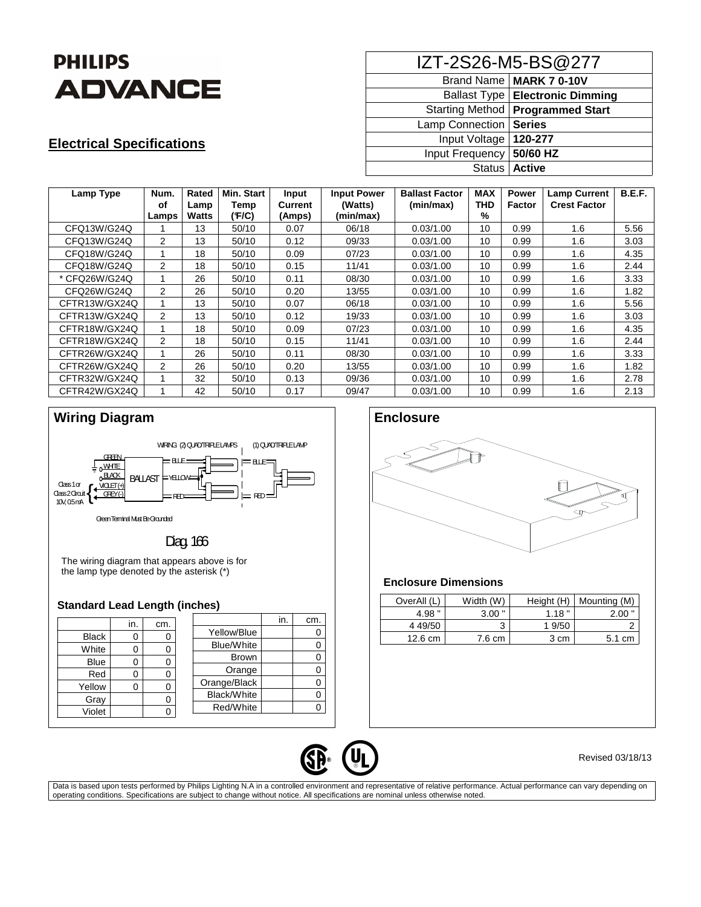

# **Electrical Specifications**

| IZT-2S26-M5-BS@277 |                                          |  |  |  |  |
|--------------------|------------------------------------------|--|--|--|--|
|                    | Brand Name   MARK 7 0-10V                |  |  |  |  |
|                    | <b>Ballast Type   Electronic Dimming</b> |  |  |  |  |
|                    | Starting Method   Programmed Start       |  |  |  |  |
| Lamp Connection    | <b>Series</b>                            |  |  |  |  |
| Input Voltage      | 120-277                                  |  |  |  |  |
| Input Frequency    | 50/60 HZ                                 |  |  |  |  |
| <b>Status</b>      | <b>Active</b>                            |  |  |  |  |

| Lamp Type     | Num.           | Rated | Min. Start | Input   | <b>Input Power</b> | <b>Ballast Factor</b> | <b>MAX</b> | <b>Power</b> | <b>Lamp Current</b> | B.E.F. |
|---------------|----------------|-------|------------|---------|--------------------|-----------------------|------------|--------------|---------------------|--------|
|               | οf             | Lamp  | Temp       | Current | (Watts)            | (min/max)             | <b>THD</b> | Factor       | <b>Crest Factor</b> |        |
|               | Lamps          | Watts | (F/C)      | (Amps)  | (min/max)          |                       | %          |              |                     |        |
| CFQ13W/G24Q   |                | 13    | 50/10      | 0.07    | 06/18              | 0.03/1.00             | 10         | 0.99         | 1.6                 | 5.56   |
| CFQ13W/G24Q   | $\overline{2}$ | 13    | 50/10      | 0.12    | 09/33              | 0.03/1.00             | 10         | 0.99         | 1.6                 | 3.03   |
| CFQ18W/G24Q   |                | 18    | 50/10      | 0.09    | 07/23              | 0.03/1.00             | 10         | 0.99         | 1.6                 | 4.35   |
| CFQ18W/G24Q   | 2              | 18    | 50/10      | 0.15    | 11/41              | 0.03/1.00             | 10         | 0.99         | 1.6                 | 2.44   |
| * CFQ26W/G24Q |                | 26    | 50/10      | 0.11    | 08/30              | 0.03/1.00             | 10         | 0.99         | 1.6                 | 3.33   |
| CFQ26W/G24Q   | 2              | 26    | 50/10      | 0.20    | 13/55              | 0.03/1.00             | 10         | 0.99         | 1.6                 | 1.82   |
| CFTR13W/GX24Q |                | 13    | 50/10      | 0.07    | 06/18              | 0.03/1.00             | 10         | 0.99         | 1.6                 | 5.56   |
| CFTR13W/GX24Q | 2              | 13    | 50/10      | 0.12    | 19/33              | 0.03/1.00             | 10         | 0.99         | 1.6                 | 3.03   |
| CFTR18W/GX24Q | 1              | 18    | 50/10      | 0.09    | 07/23              | 0.03/1.00             | 10         | 0.99         | 1.6                 | 4.35   |
| CFTR18W/GX24Q | 2              | 18    | 50/10      | 0.15    | 11/41              | 0.03/1.00             | 10         | 0.99         | 1.6                 | 2.44   |
| CFTR26W/GX24Q |                | 26    | 50/10      | 0.11    | 08/30              | 0.03/1.00             | 10         | 0.99         | 1.6                 | 3.33   |
| CFTR26W/GX24Q | 2              | 26    | 50/10      | 0.20    | 13/55              | 0.03/1.00             | 10         | 0.99         | 1.6                 | 1.82   |
| CFTR32W/GX24Q |                | 32    | 50/10      | 0.13    | 09/36              | 0.03/1.00             | 10         | 0.99         | 1.6                 | 2.78   |
| CFTR42W/GX24Q |                | 42    | 50/10      | 0.17    | 09/47              | 0.03/1.00             | 10         | 0.99         | 1.6                 | 2.13   |



# Diag. 166

The wiring diagram that appears above is for the lamp type denoted by the asterisk (\*)

### **Standard Lead Length (inches)**

|              | in. | cm. |                   | in. | cm. |
|--------------|-----|-----|-------------------|-----|-----|
| <b>Black</b> |     |     | Yellow/Blue       |     |     |
| White        |     |     | <b>Blue/White</b> |     |     |
| <b>Blue</b>  | 0   |     | Brown             |     |     |
| Red          |     |     | Orange            |     |     |
| Yellow       |     |     | Orange/Black      |     |     |
| Gray         |     |     | Black/White       |     |     |
| Violet       |     |     | Red/White         |     |     |
|              |     |     |                   |     |     |



### **Enclosure Dimensions**

| OverAll (L)       | Width (W) | Height (H) | Mounting (M) |
|-------------------|-----------|------------|--------------|
| 4.98 "            | $3.00$ "  | 1.18"      | $2.00$ "     |
| 4 49/50           | 3         | 1 9/50     |              |
| $12.6 \text{ cm}$ | 7.6 cm    | 3 cm       | 5.1 cm       |



### Revised 03/18/13

Data is based upon tests performed by Philips Lighting N.A in a controlled environment and representative of relative performance. Actual performance can vary depending on operating conditions. Specifications are subject to change without notice. All specifications are nominal unless otherwise noted.